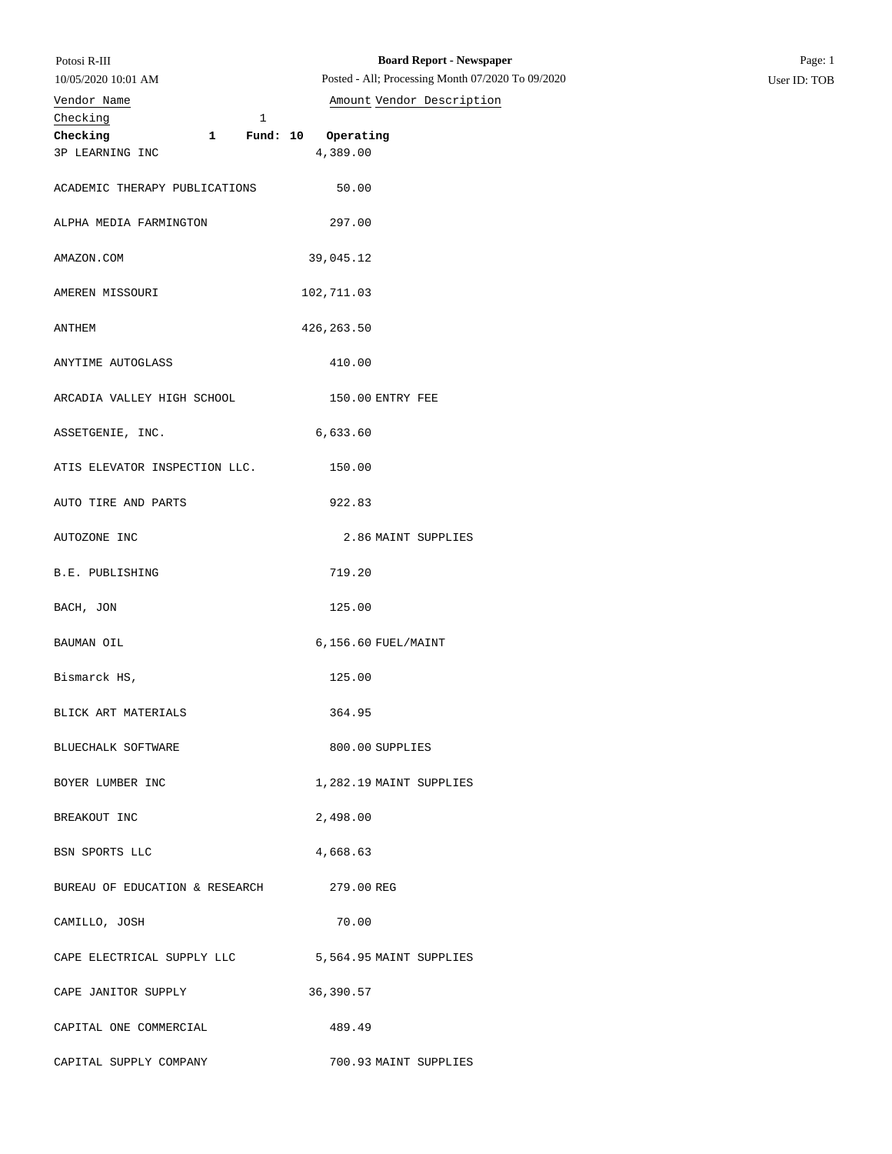| Potosi R-III |  |
|--------------|--|
|              |  |

## 10/05/2020 10:01 AM

## Posted - All; Processing Month 07/2020 To 09/2020 User ID: TOB

| Vendor Name                                             | Amount Vendor Description        |
|---------------------------------------------------------|----------------------------------|
| $\mathbf{1}$<br>Checking<br>Checking<br>3P LEARNING INC | 1 Fund: 10 Operating<br>4,389.00 |
| ACADEMIC THERAPY PUBLICATIONS                           | 50.00                            |
| ALPHA MEDIA FARMINGTON                                  | 297.00                           |
| AMAZON.COM                                              | 39,045.12                        |
| AMEREN MISSOURI                                         | 102,711.03                       |
| ANTHEM                                                  | 426, 263.50                      |
| ANYTIME AUTOGLASS                                       | 410.00                           |
| ARCADIA VALLEY HIGH SCHOOL                              | 150.00 ENTRY FEE                 |
| ASSETGENIE, INC.                                        | 6,633.60                         |
| ATIS ELEVATOR INSPECTION LLC.                           | 150.00                           |
| AUTO TIRE AND PARTS                                     | 922.83                           |
| AUTOZONE INC                                            | 2.86 MAINT SUPPLIES              |
| B.E. PUBLISHING                                         | 719.20                           |
| BACH, JON                                               | 125.00                           |
| BAUMAN OIL                                              | 6,156.60 FUEL/MAINT              |
| Bismarck HS,                                            | 125.00                           |
| BLICK ART MATERIALS                                     | 364.95                           |
| BLUECHALK SOFTWARE                                      | 800.00 SUPPLIES                  |
| BOYER LUMBER INC                                        | 1,282.19 MAINT SUPPLIES          |
| BREAKOUT INC                                            | 2,498.00                         |
| BSN SPORTS LLC                                          | 4,668.63                         |
| BUREAU OF EDUCATION & RESEARCH                          | 279.00 REG                       |
| CAMILLO, JOSH                                           | 70.00                            |
| CAPE ELECTRICAL SUPPLY LLC                              | 5,564.95 MAINT SUPPLIES          |
| CAPE JANITOR SUPPLY                                     | 36,390.57                        |
| CAPITAL ONE COMMERCIAL                                  | 489.49                           |
| CAPITAL SUPPLY COMPANY                                  | 700.93 MAINT SUPPLIES            |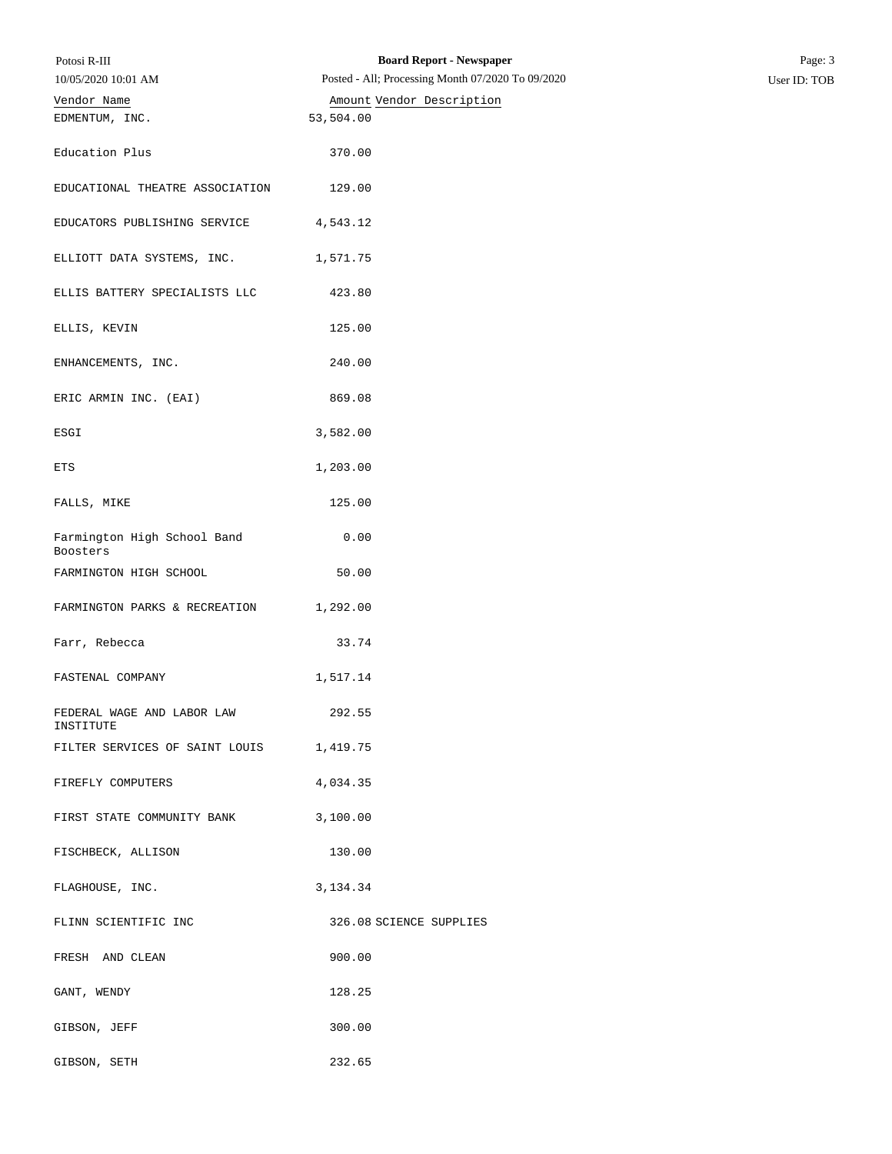| Potosi R-III                            | <b>Board Report - Newspaper</b>                   | Page: 3      |
|-----------------------------------------|---------------------------------------------------|--------------|
| 10/05/2020 10:01 AM                     | Posted - All; Processing Month 07/2020 To 09/2020 | User ID: TOB |
| Vendor Name                             | Amount Vendor Description                         |              |
| EDMENTUM, INC.                          | 53,504.00                                         |              |
| Education Plus                          | 370.00                                            |              |
| EDUCATIONAL THEATRE ASSOCIATION         | 129.00                                            |              |
| EDUCATORS PUBLISHING SERVICE            | 4,543.12                                          |              |
| ELLIOTT DATA SYSTEMS, INC.              | 1,571.75                                          |              |
| ELLIS BATTERY SPECIALISTS LLC           | 423.80                                            |              |
| ELLIS, KEVIN                            | 125.00                                            |              |
| ENHANCEMENTS, INC.                      | 240.00                                            |              |
| ERIC ARMIN INC. (EAI)                   | 869.08                                            |              |
| ESGI                                    | 3,582.00                                          |              |
| ETS                                     | 1,203.00                                          |              |
| FALLS, MIKE                             | 125.00                                            |              |
| Farmington High School Band<br>Boosters | 0.00                                              |              |
| FARMINGTON HIGH SCHOOL                  | 50.00                                             |              |
| FARMINGTON PARKS & RECREATION           | 1,292.00                                          |              |
| Farr, Rebecca                           | 33.74                                             |              |
| FASTENAL COMPANY                        | 1,517.14                                          |              |
| FEDERAL WAGE AND LABOR LAW<br>INSTITUTE | 292.55                                            |              |
| FILTER SERVICES OF SAINT LOUIS 1,419.75 |                                                   |              |
| FIREFLY COMPUTERS                       | 4,034.35                                          |              |
| FIRST STATE COMMUNITY BANK              | 3,100.00                                          |              |
| FISCHBECK, ALLISON                      | 130.00                                            |              |
| FLAGHOUSE, INC.                         | 3,134.34                                          |              |
| FLINN SCIENTIFIC INC                    | 326.08 SCIENCE SUPPLIES                           |              |
| FRESH AND CLEAN                         | 900.00                                            |              |
| GANT, WENDY                             | 128.25                                            |              |
| GIBSON, JEFF                            | 300.00                                            |              |
| GIBSON, SETH                            | 232.65                                            |              |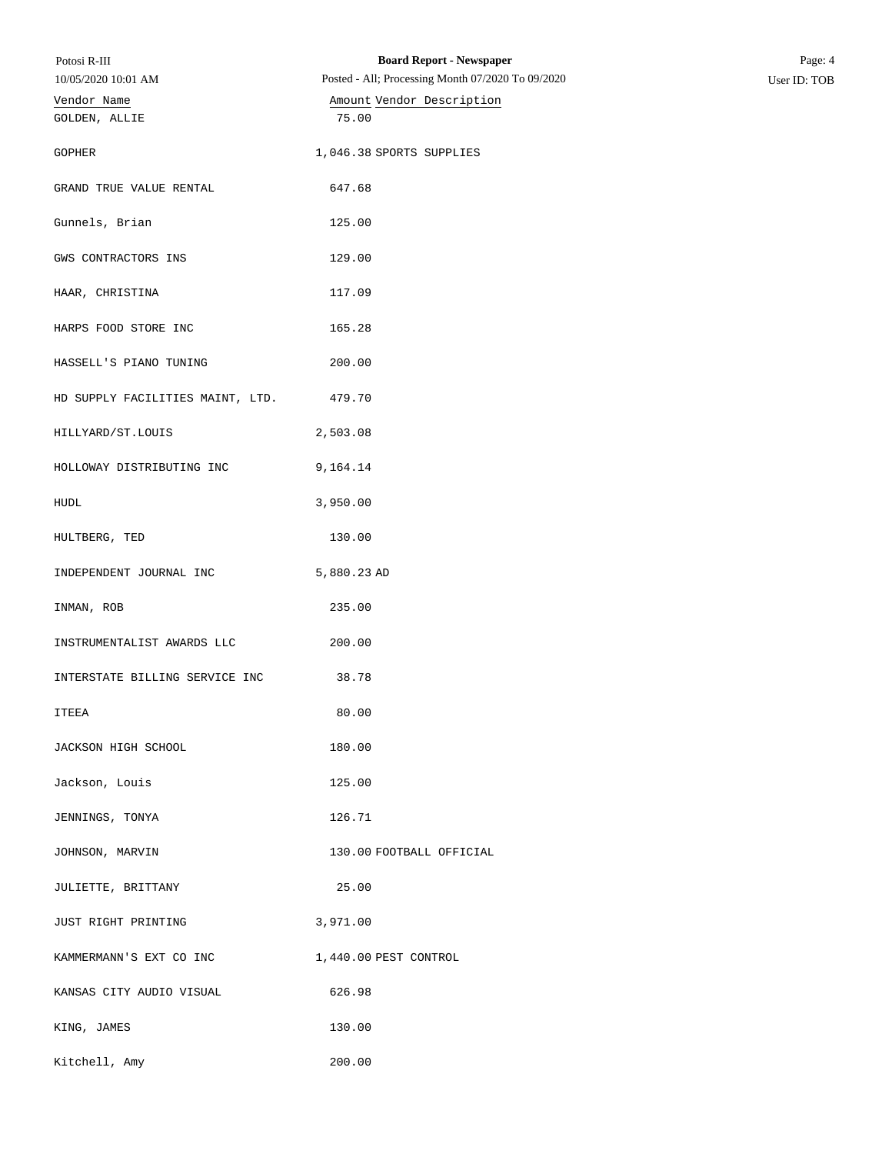| Potosi R-III                     | <b>Board Report - Newspaper</b>                   | Page: 4      |
|----------------------------------|---------------------------------------------------|--------------|
| 10/05/2020 10:01 AM              | Posted - All; Processing Month 07/2020 To 09/2020 | User ID: TOB |
| Vendor Name<br>GOLDEN, ALLIE     | Amount Vendor Description<br>75.00                |              |
|                                  |                                                   |              |
| <b>GOPHER</b>                    | 1,046.38 SPORTS SUPPLIES                          |              |
| GRAND TRUE VALUE RENTAL          | 647.68                                            |              |
| Gunnels, Brian                   | 125.00                                            |              |
| GWS CONTRACTORS INS              | 129.00                                            |              |
| HAAR, CHRISTINA                  | 117.09                                            |              |
| HARPS FOOD STORE INC             | 165.28                                            |              |
| HASSELL'S PIANO TUNING           | 200.00                                            |              |
| HD SUPPLY FACILITIES MAINT, LTD. | 479.70                                            |              |
| HILLYARD/ST.LOUIS                | 2,503.08                                          |              |
| HOLLOWAY DISTRIBUTING INC        | 9,164.14                                          |              |
| HUDL                             | 3,950.00                                          |              |
| HULTBERG, TED                    | 130.00                                            |              |
| INDEPENDENT JOURNAL INC          | 5,880.23 AD                                       |              |
| INMAN, ROB                       | 235.00                                            |              |
| INSTRUMENTALIST AWARDS LLC       | 200.00                                            |              |
| INTERSTATE BILLING SERVICE INC   | 38.78                                             |              |
| ITEEA                            | 80.00                                             |              |
| JACKSON HIGH SCHOOL              | 180.00                                            |              |
| Jackson, Louis                   | 125.00                                            |              |
| JENNINGS, TONYA                  | 126.71                                            |              |
| JOHNSON, MARVIN                  | 130.00 FOOTBALL OFFICIAL                          |              |
| JULIETTE, BRITTANY               | 25.00                                             |              |
| JUST RIGHT PRINTING              | 3,971.00                                          |              |
| KAMMERMANN'S EXT CO INC          | 1,440.00 PEST CONTROL                             |              |
| KANSAS CITY AUDIO VISUAL         | 626.98                                            |              |
| KING, JAMES                      | 130.00                                            |              |
| Kitchell, Amy                    | 200.00                                            |              |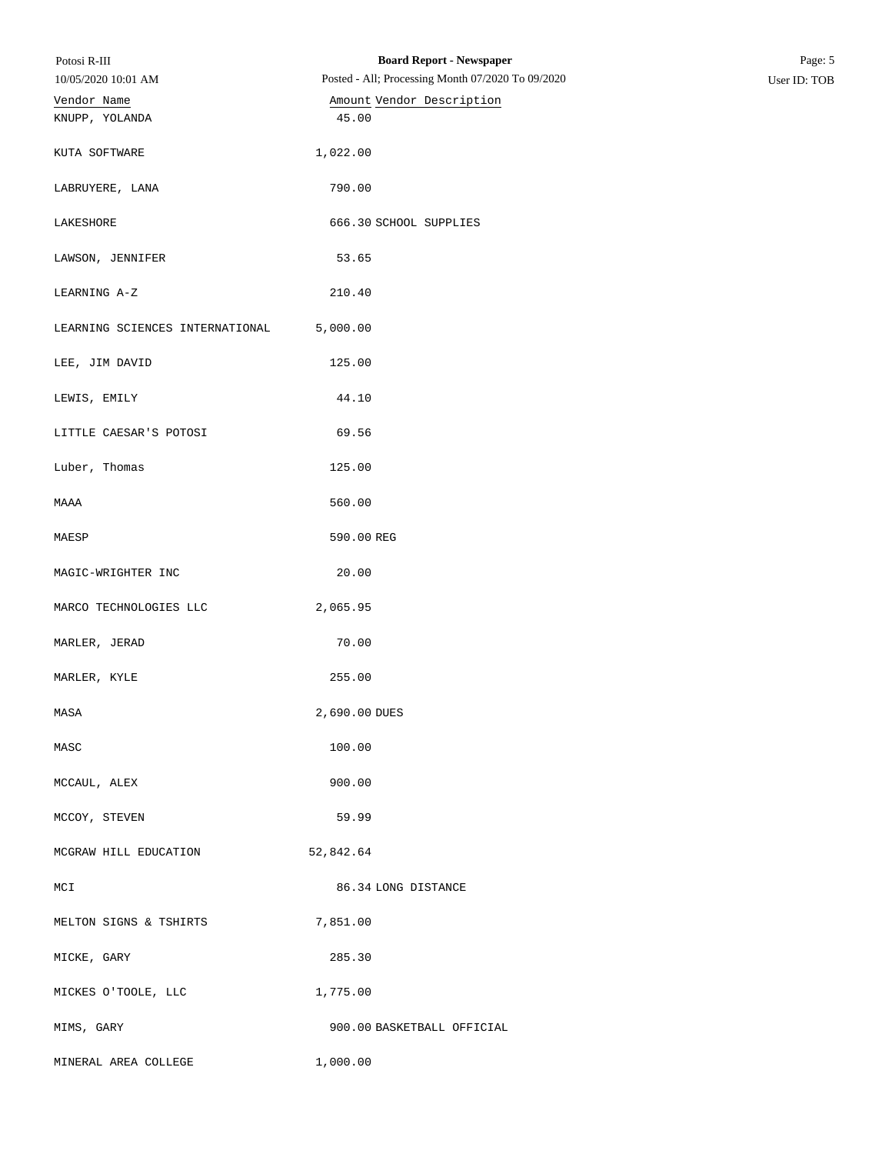| Potosi R-III                    | <b>Board Report - Newspaper</b>                   | Page: 5      |
|---------------------------------|---------------------------------------------------|--------------|
| 10/05/2020 10:01 AM             | Posted - All; Processing Month 07/2020 To 09/2020 | User ID: TOB |
| Vendor Name<br>KNUPP, YOLANDA   | Amount Vendor Description<br>45.00                |              |
| KUTA SOFTWARE                   | 1,022.00                                          |              |
| LABRUYERE, LANA                 | 790.00                                            |              |
| LAKESHORE                       | 666.30 SCHOOL SUPPLIES                            |              |
| LAWSON, JENNIFER                | 53.65                                             |              |
| LEARNING A-Z                    | 210.40                                            |              |
| LEARNING SCIENCES INTERNATIONAL | 5,000.00                                          |              |
| LEE, JIM DAVID                  | 125.00                                            |              |
| LEWIS, EMILY                    | 44.10                                             |              |
| LITTLE CAESAR'S POTOSI          | 69.56                                             |              |
| Luber, Thomas                   | 125.00                                            |              |
| MAAA                            | 560.00                                            |              |
| MAESP                           | 590.00 REG                                        |              |
| MAGIC-WRIGHTER INC              | 20.00                                             |              |
| MARCO TECHNOLOGIES LLC          | 2,065.95                                          |              |
| MARLER, JERAD                   | 70.00                                             |              |
| MARLER, KYLE                    | 255.00                                            |              |
| MASA                            | 2,690.00 DUES                                     |              |
| MASC                            | 100.00                                            |              |
| MCCAUL, ALEX                    | 900.00                                            |              |
| MCCOY, STEVEN                   | 59.99                                             |              |
| MCGRAW HILL EDUCATION           | 52,842.64                                         |              |
| MCI                             | 86.34 LONG DISTANCE                               |              |
| MELTON SIGNS & TSHIRTS          | 7,851.00                                          |              |
| MICKE, GARY                     | 285.30                                            |              |
| MICKES O'TOOLE, LLC             | 1,775.00                                          |              |
| MIMS, GARY                      | 900.00 BASKETBALL OFFICIAL                        |              |
| MINERAL AREA COLLEGE            | 1,000.00                                          |              |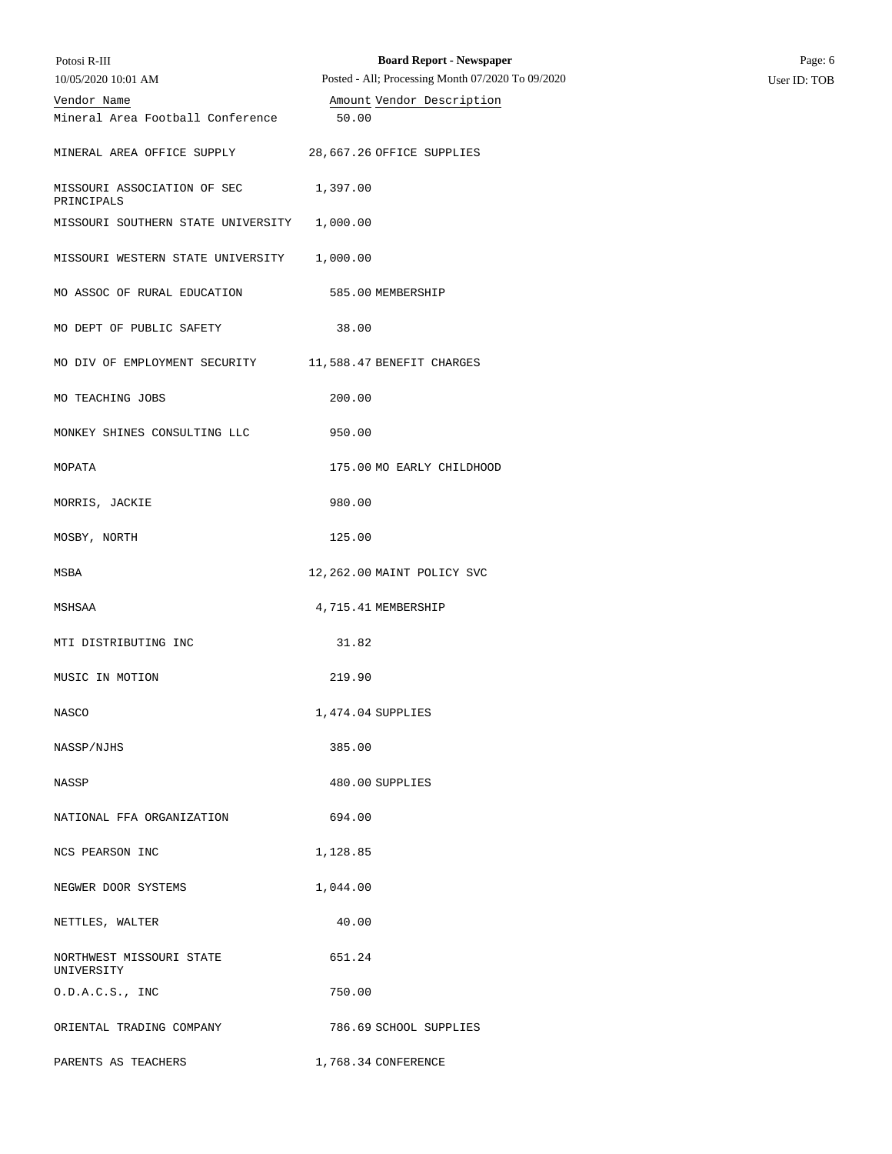| Potosi R-III                              | <b>Board Report - Newspaper</b>                   | Page: 6      |
|-------------------------------------------|---------------------------------------------------|--------------|
| 10/05/2020 10:01 AM                       | Posted - All; Processing Month 07/2020 To 09/2020 | User ID: TOB |
| Vendor Name                               | Amount Vendor Description                         |              |
| Mineral Area Football Conference          | 50.00                                             |              |
| MINERAL AREA OFFICE SUPPLY                | 28,667.26 OFFICE SUPPLIES                         |              |
| MISSOURI ASSOCIATION OF SEC<br>PRINCIPALS | 1,397.00                                          |              |
| MISSOURI SOUTHERN STATE UNIVERSITY        | 1,000.00                                          |              |
| MISSOURI WESTERN STATE UNIVERSITY         | 1,000.00                                          |              |
| MO ASSOC OF RURAL EDUCATION               | 585.00 MEMBERSHIP                                 |              |
| MO DEPT OF PUBLIC SAFETY                  | 38.00                                             |              |
| MO DIV OF EMPLOYMENT SECURITY             | 11,588.47 BENEFIT CHARGES                         |              |
| MO TEACHING JOBS                          | 200.00                                            |              |
| MONKEY SHINES CONSULTING LLC              | 950.00                                            |              |
| MOPATA                                    | 175.00 MO EARLY CHILDHOOD                         |              |
| MORRIS, JACKIE                            | 980.00                                            |              |
| MOSBY, NORTH                              | 125.00                                            |              |
| MSBA                                      | 12,262.00 MAINT POLICY SVC                        |              |
| MSHSAA                                    | 4,715.41 MEMBERSHIP                               |              |
| MTI DISTRIBUTING INC                      | 31.82                                             |              |
| MUSIC IN MOTION                           | 219.90                                            |              |
| NASCO                                     | 1,474.04 SUPPLIES                                 |              |
| NASSP/NJHS                                | 385.00                                            |              |
| NASSP                                     | 480.00 SUPPLIES                                   |              |
| NATIONAL FFA ORGANIZATION                 | 694.00                                            |              |
| NCS PEARSON INC                           | 1,128.85                                          |              |
| NEGWER DOOR SYSTEMS                       | 1,044.00                                          |              |
| NETTLES, WALTER                           | 40.00                                             |              |
| NORTHWEST MISSOURI STATE<br>UNIVERSITY    | 651.24                                            |              |
| 0.D.A.C.S., INC                           | 750.00                                            |              |
| ORIENTAL TRADING COMPANY                  | 786.69 SCHOOL SUPPLIES                            |              |
| PARENTS AS TEACHERS                       | 1,768.34 CONFERENCE                               |              |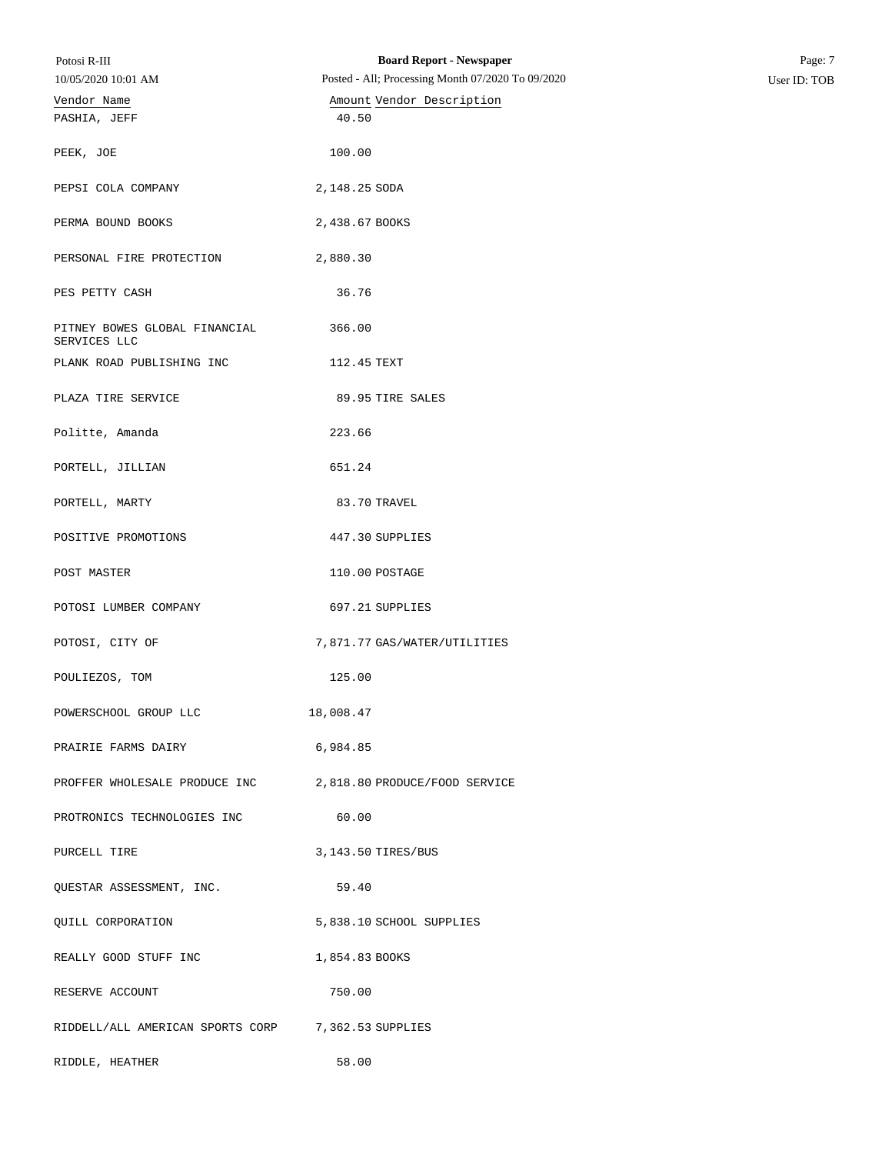| Potosi R-III                                  | <b>Board Report - Newspaper</b>                   | Page: 7      |
|-----------------------------------------------|---------------------------------------------------|--------------|
| 10/05/2020 10:01 AM                           | Posted - All; Processing Month 07/2020 To 09/2020 | User ID: TOB |
| Vendor Name                                   | Amount Vendor Description                         |              |
| PASHIA, JEFF                                  | 40.50                                             |              |
| PEEK, JOE                                     | 100.00                                            |              |
| PEPSI COLA COMPANY                            | 2,148.25 SODA                                     |              |
| PERMA BOUND BOOKS                             | 2,438.67 BOOKS                                    |              |
| PERSONAL FIRE PROTECTION                      | 2,880.30                                          |              |
| PES PETTY CASH                                | 36.76                                             |              |
| PITNEY BOWES GLOBAL FINANCIAL<br>SERVICES LLC | 366.00                                            |              |
| PLANK ROAD PUBLISHING INC                     | 112.45 TEXT                                       |              |
| PLAZA TIRE SERVICE                            | 89.95 TIRE SALES                                  |              |
| Politte, Amanda                               | 223.66                                            |              |
| PORTELL, JILLIAN                              | 651.24                                            |              |
| PORTELL, MARTY                                | 83.70 TRAVEL                                      |              |
| POSITIVE PROMOTIONS                           | 447.30 SUPPLIES                                   |              |
| POST MASTER                                   | 110.00 POSTAGE                                    |              |
| POTOSI LUMBER COMPANY                         | 697.21 SUPPLIES                                   |              |
| POTOSI, CITY OF                               | 7,871.77 GAS/WATER/UTILITIES                      |              |
| POULIEZOS, TOM                                | 125.00                                            |              |
| POWERSCHOOL GROUP LLC                         | 18,008.47                                         |              |
| PRAIRIE FARMS DAIRY                           | 6,984.85                                          |              |
| PROFFER WHOLESALE PRODUCE INC                 | 2,818.80 PRODUCE/FOOD SERVICE                     |              |
| PROTRONICS TECHNOLOGIES INC                   | 60.00                                             |              |
| PURCELL TIRE                                  | 3, 143.50 TIRES/BUS                               |              |
| QUESTAR ASSESSMENT, INC.                      | 59.40                                             |              |
| QUILL CORPORATION                             | 5,838.10 SCHOOL SUPPLIES                          |              |
| REALLY GOOD STUFF INC                         | 1,854.83 BOOKS                                    |              |
| RESERVE ACCOUNT                               | 750.00                                            |              |
| RIDDELL/ALL AMERICAN SPORTS CORP              | 7,362.53 SUPPLIES                                 |              |
| RIDDLE, HEATHER                               | 58.00                                             |              |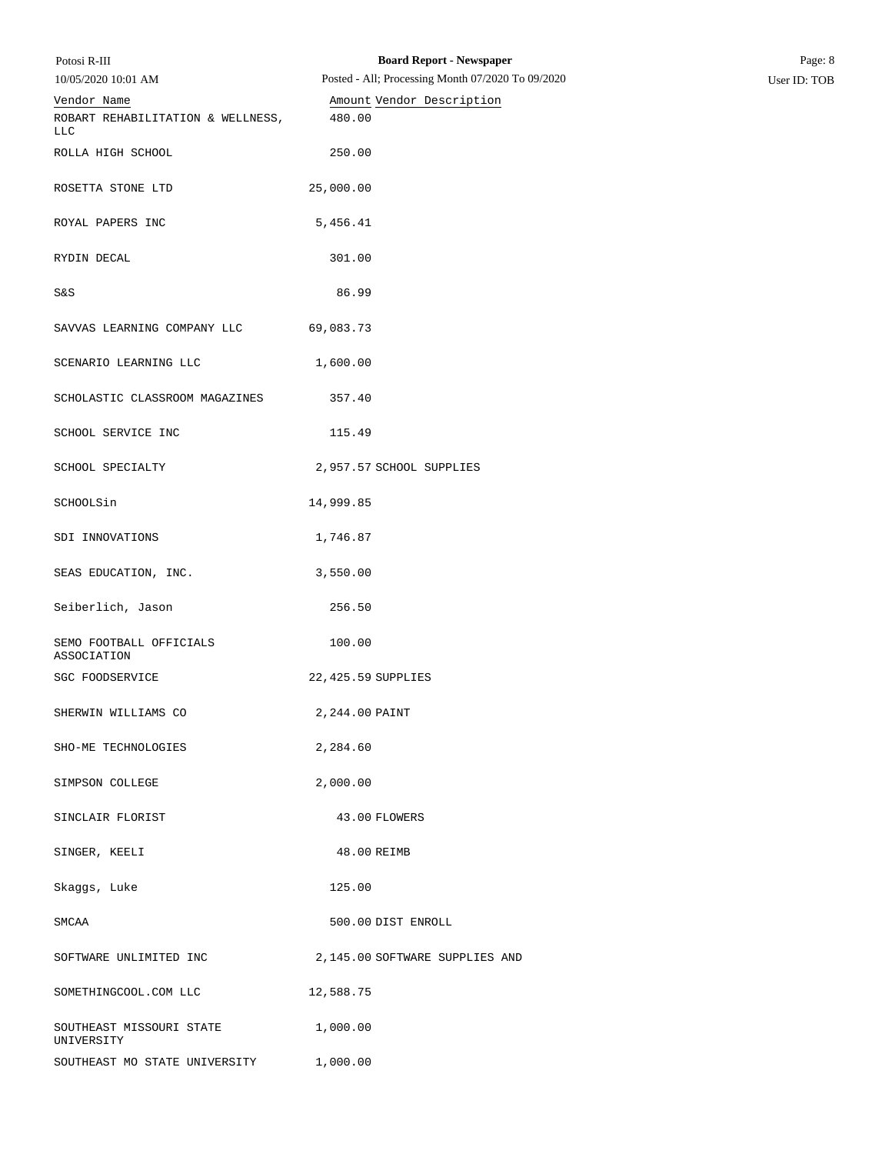| Potosi R-III                                    | <b>Board Report - Newspaper</b>                   | Page: 8      |
|-------------------------------------------------|---------------------------------------------------|--------------|
| 10/05/2020 10:01 AM                             | Posted - All; Processing Month 07/2020 To 09/2020 | User ID: TOB |
| Vendor Name                                     | Amount Vendor Description                         |              |
| ROBART REHABILITATION & WELLNESS,<br><b>LLC</b> | 480.00                                            |              |
| ROLLA HIGH SCHOOL                               | 250.00                                            |              |
| ROSETTA STONE LTD                               | 25,000.00                                         |              |
| ROYAL PAPERS INC                                | 5,456.41                                          |              |
| RYDIN DECAL                                     | 301.00                                            |              |
| S&S                                             | 86.99                                             |              |
| SAVVAS LEARNING COMPANY LLC                     | 69,083.73                                         |              |
| SCENARIO LEARNING LLC                           | 1,600.00                                          |              |
| SCHOLASTIC CLASSROOM MAGAZINES                  | 357.40                                            |              |
| SCHOOL SERVICE INC                              | 115.49                                            |              |
| SCHOOL SPECIALTY                                | 2,957.57 SCHOOL SUPPLIES                          |              |
| SCHOOLSin                                       | 14,999.85                                         |              |
| SDI INNOVATIONS                                 | 1,746.87                                          |              |
| SEAS EDUCATION, INC.                            | 3,550.00                                          |              |
| Seiberlich, Jason                               | 256.50                                            |              |
| SEMO FOOTBALL OFFICIALS<br>ASSOCIATION          | 100.00                                            |              |
| SGC FOODSERVICE                                 | 22, 425.59 SUPPLIES                               |              |
| SHERWIN WILLIAMS CO                             | 2,244.00 PAINT                                    |              |
| SHO-ME TECHNOLOGIES                             | 2,284.60                                          |              |
| SIMPSON COLLEGE                                 | 2,000.00                                          |              |
| SINCLAIR FLORIST                                | 43.00 FLOWERS                                     |              |
| SINGER, KEELI                                   | 48.00 REIMB                                       |              |
| Skaggs, Luke                                    | 125.00                                            |              |
| SMCAA                                           | 500.00 DIST ENROLL                                |              |
| SOFTWARE UNLIMITED INC                          | 2,145.00 SOFTWARE SUPPLIES AND                    |              |
| SOMETHINGCOOL.COM LLC                           | 12,588.75                                         |              |
| SOUTHEAST MISSOURI STATE<br>UNIVERSITY          | 1,000.00                                          |              |
| SOUTHEAST MO STATE UNIVERSITY                   | 1,000.00                                          |              |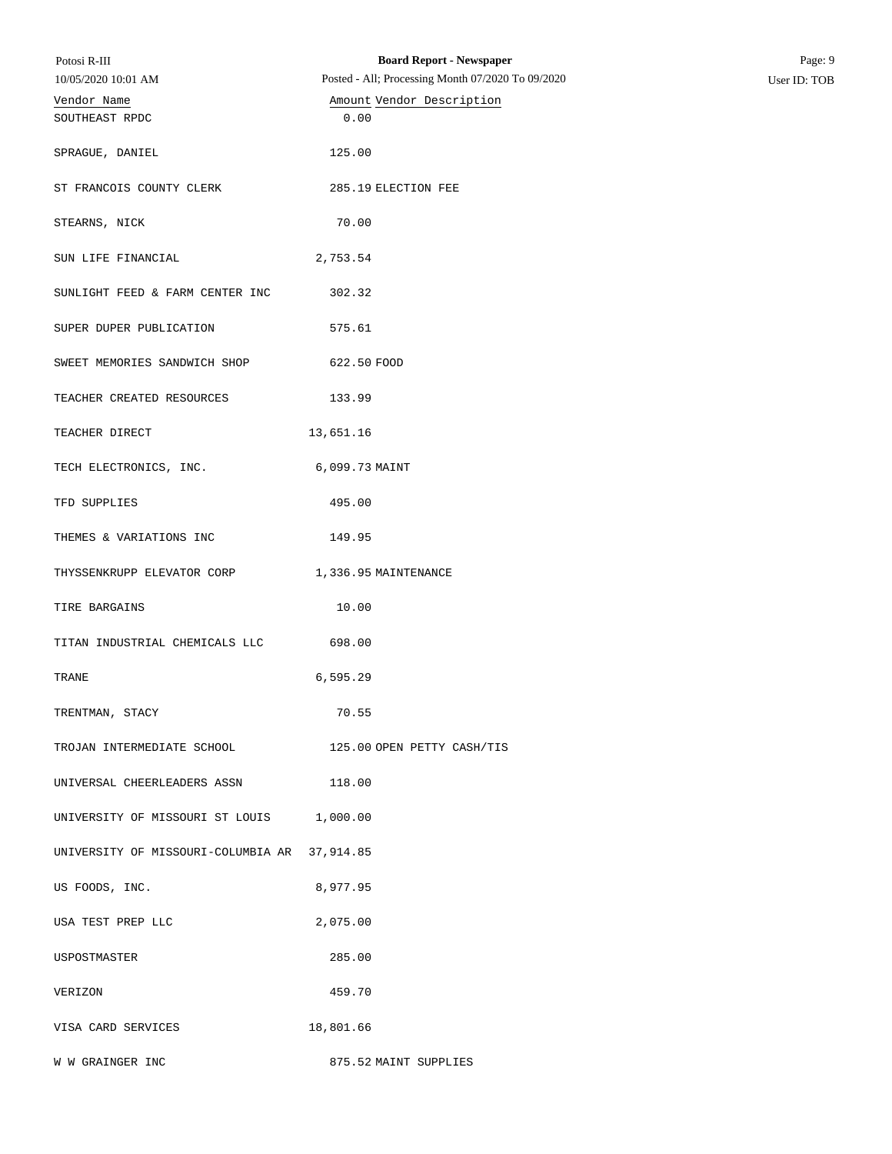| Potosi R-III                                 | <b>Board Report - Newspaper</b>                   | Page: 9      |
|----------------------------------------------|---------------------------------------------------|--------------|
| 10/05/2020 10:01 AM                          | Posted - All; Processing Month 07/2020 To 09/2020 | User ID: TOB |
| Vendor Name<br>SOUTHEAST RPDC                | Amount Vendor Description<br>0.00                 |              |
|                                              |                                                   |              |
| SPRAGUE, DANIEL                              | 125.00                                            |              |
| ST FRANCOIS COUNTY CLERK                     | 285.19 ELECTION FEE                               |              |
| STEARNS, NICK                                | 70.00                                             |              |
| SUN LIFE FINANCIAL                           | 2,753.54                                          |              |
| SUNLIGHT FEED & FARM CENTER INC              | 302.32                                            |              |
| SUPER DUPER PUBLICATION                      | 575.61                                            |              |
| SWEET MEMORIES SANDWICH SHOP                 | 622.50 FOOD                                       |              |
| TEACHER CREATED RESOURCES                    | 133.99                                            |              |
| TEACHER DIRECT                               | 13,651.16                                         |              |
| TECH ELECTRONICS, INC.                       | 6,099.73 MAINT                                    |              |
| TFD SUPPLIES                                 | 495.00                                            |              |
| THEMES & VARIATIONS INC                      | 149.95                                            |              |
| THYSSENKRUPP ELEVATOR CORP                   | 1,336.95 MAINTENANCE                              |              |
| TIRE BARGAINS                                | 10.00                                             |              |
| TITAN INDUSTRIAL CHEMICALS LLC               | 698.00                                            |              |
| TRANE                                        | 6,595.29                                          |              |
| TRENTMAN, STACY                              | 70.55                                             |              |
| TROJAN INTERMEDIATE SCHOOL                   | 125.00 OPEN PETTY CASH/TIS                        |              |
| UNIVERSAL CHEERLEADERS ASSN                  | 118.00                                            |              |
| UNIVERSITY OF MISSOURI ST LOUIS              | 1,000.00                                          |              |
| UNIVERSITY OF MISSOURI-COLUMBIA AR 37,914.85 |                                                   |              |
| US FOODS, INC.                               | 8,977.95                                          |              |
| USA TEST PREP LLC                            | 2,075.00                                          |              |
| USPOSTMASTER                                 | 285.00                                            |              |
| VERIZON                                      | 459.70                                            |              |
| VISA CARD SERVICES                           | 18,801.66                                         |              |
| W W GRAINGER INC                             | 875.52 MAINT SUPPLIES                             |              |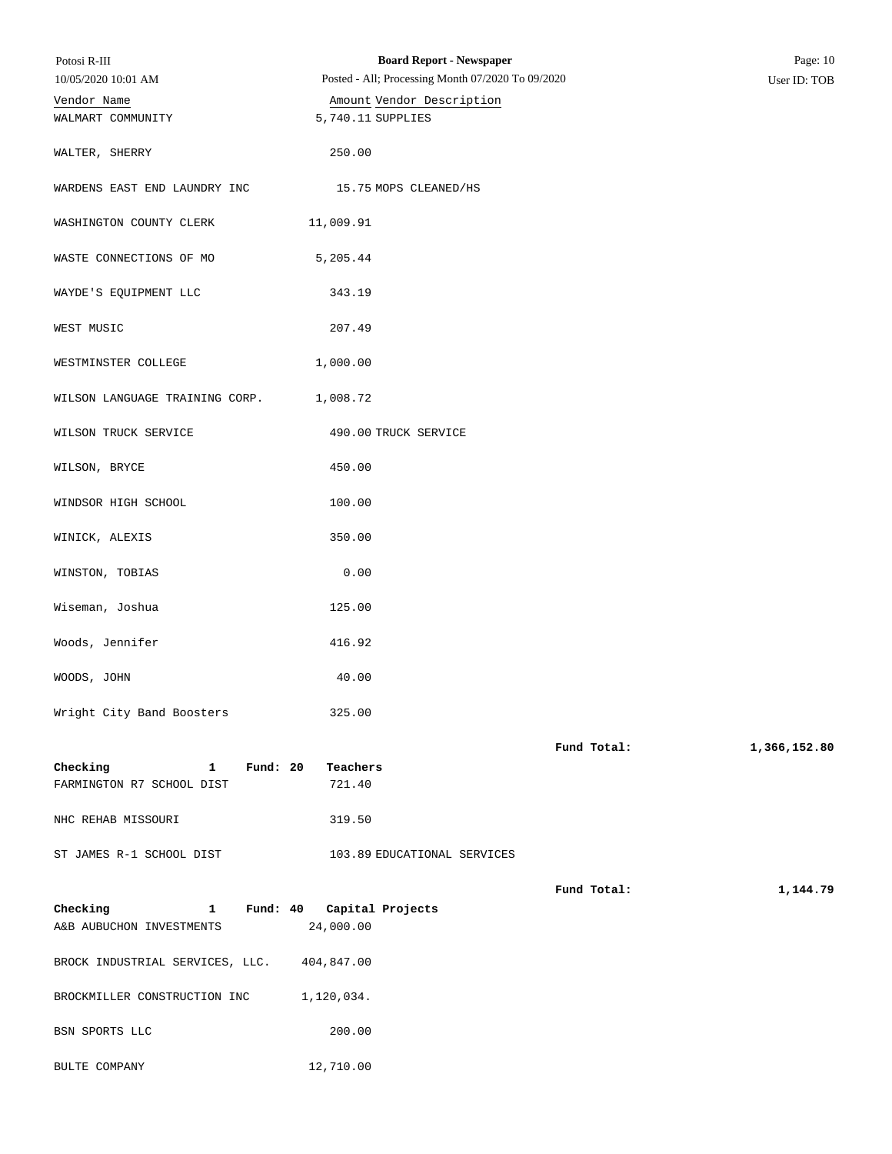| Potosi R-III                               | <b>Board Report - Newspaper</b>                                   |             | Page: 10     |
|--------------------------------------------|-------------------------------------------------------------------|-------------|--------------|
| 10/05/2020 10:01 AM                        | Posted - All; Processing Month 07/2020 To 09/2020<br>User ID: TOB |             |              |
| Vendor Name                                | Amount Vendor Description                                         |             |              |
| WALMART COMMUNITY                          | 5,740.11 SUPPLIES                                                 |             |              |
| WALTER, SHERRY                             | 250.00                                                            |             |              |
| WARDENS EAST END LAUNDRY INC               | 15.75 MOPS CLEANED/HS                                             |             |              |
| WASHINGTON COUNTY CLERK                    | 11,009.91                                                         |             |              |
| WASTE CONNECTIONS OF MO                    | 5,205.44                                                          |             |              |
| WAYDE'S EQUIPMENT LLC                      | 343.19                                                            |             |              |
| WEST MUSIC                                 | 207.49                                                            |             |              |
| WESTMINSTER COLLEGE                        | 1,000.00                                                          |             |              |
| WILSON LANGUAGE TRAINING CORP.             | 1,008.72                                                          |             |              |
| WILSON TRUCK SERVICE                       | 490.00 TRUCK SERVICE                                              |             |              |
| WILSON, BRYCE                              | 450.00                                                            |             |              |
| WINDSOR HIGH SCHOOL                        | 100.00                                                            |             |              |
| WINICK, ALEXIS                             | 350.00                                                            |             |              |
| WINSTON, TOBIAS                            | 0.00                                                              |             |              |
| Wiseman, Joshua                            | 125.00                                                            |             |              |
| Woods, Jennifer                            | 416.92                                                            |             |              |
| WOODS, JOHN                                | 40.00                                                             |             |              |
| Wright City Band Boosters                  | 325.00                                                            |             |              |
|                                            |                                                                   | Fund Total: | 1,366,152.80 |
| Checking<br>$\mathbf{1}$<br>Fund: 20       | Teachers                                                          |             |              |
| FARMINGTON R7 SCHOOL DIST                  | 721.40                                                            |             |              |
| NHC REHAB MISSOURI                         | 319.50                                                            |             |              |
| ST JAMES R-1 SCHOOL DIST                   | 103.89 EDUCATIONAL SERVICES                                       |             |              |
|                                            |                                                                   | Fund Total: | 1,144.79     |
| Checking                                   | 1 Fund: 40 Capital Projects                                       |             |              |
| A&B AUBUCHON INVESTMENTS                   | 24,000.00                                                         |             |              |
| BROCK INDUSTRIAL SERVICES, LLC. 404,847.00 |                                                                   |             |              |
| BROCKMILLER CONSTRUCTION INC               | $1,120,034$ .                                                     |             |              |
| BSN SPORTS LLC                             | 200.00                                                            |             |              |
| BULTE COMPANY                              | 12,710.00                                                         |             |              |